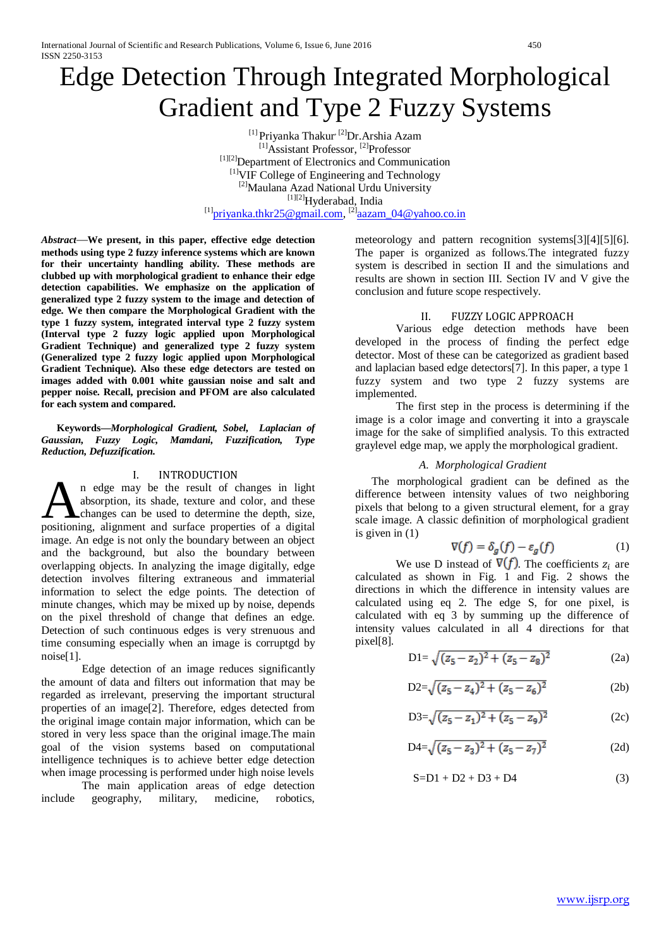# Edge Detection Through Integrated Morphological Gradient and Type 2 Fuzzy Systems

<sup>[1]</sup> Priyanka Thakur<sup>, [2]</sup>Dr.Arshia Azam <sup>[1]</sup>Assistant Professor, <sup>[2]</sup>Professor [1][2]Department of Electronics and Communication [1]VIF College of Engineering and Technology [2]Maulana Azad National Urdu University [1][2]Hyderabad, India  $^{[1]}$ priyanka.thkr25@gmail.com,  $^{[2]}$ aazam 04@yahoo.co.in

*Abstract*—**We present, in this paper, effective edge detection methods using type 2 fuzzy inference systems which are known for their uncertainty handling ability. These methods are clubbed up with morphological gradient to enhance their edge detection capabilities. We emphasize on the application of generalized type 2 fuzzy system to the image and detection of edge. We then compare the Morphological Gradient with the type 1 fuzzy system, integrated interval type 2 fuzzy system (Interval type 2 fuzzy logic applied upon Morphological Gradient Technique) and generalized type 2 fuzzy system (Generalized type 2 fuzzy logic applied upon Morphological Gradient Technique). Also these edge detectors are tested on images added with 0.001 white gaussian noise and salt and pepper noise. Recall, precision and PFOM are also calculated for each system and compared.**

### **Keywords—***Morphological Gradient, Sobel, Laplacian of Gaussian***,** *Fuzzy Logic, Mamdani, Fuzzification, Type Reduction, Defuzzification.*

## I. INTRODUCTION

n edge may be the result of changes in light absorption, its shade, texture and color, and these changes can be used to determine the depth, size, absorption, its shade, texture and color, and these<br>changes can be used to determine the depth, size,<br>positioning, alignment and surface properties of a digital image. An edge is not only the boundary between an object and the background, but also the boundary between overlapping objects. In analyzing the image digitally, edge detection involves filtering extraneous and immaterial information to select the edge points. The detection of minute changes, which may be mixed up by noise, depends on the pixel threshold of change that defines an edge. Detection of such continuous edges is very strenuous and time consuming especially when an image is corruptgd by noise[1].

Edge detection of an image reduces significantly the amount of data and filters out information that may be regarded as irrelevant, preserving the important structural properties of an image[2]. Therefore, edges detected from the original image contain major information, which can be stored in very less space than the original image.The main goal of the vision systems based on computational intelligence techniques is to achieve better edge detection when image processing is performed under high noise levels

The main application areas of edge detection include geography, military, medicine, robotics,

meteorology and pattern recognition systems[3][4][5][6]. The paper is organized as follows.The integrated fuzzy system is described in section II and the simulations and results are shown in section III. Section IV and V give the conclusion and future scope respectively.

# II. FUZZY LOGIC APPROACH

Various edge detection methods have been developed in the process of finding the perfect edge detector. Most of these can be categorized as gradient based and laplacian based edge detectors[7]. In this paper, a type 1 fuzzy system and two type 2 fuzzy systems are implemented.

The first step in the process is determining if the image is a color image and converting it into a grayscale image for the sake of simplified analysis. To this extracted graylevel edge map, we apply the morphological gradient.

# *A. Morphological Gradient*

The morphological gradient can be defined as the difference between intensity values of two neighboring pixels that belong to a given structural element, for a gray scale image. A classic definition of morphological gradient is given in (1)

$$
\nabla(f) = \delta_g(f) - \varepsilon_g(f) \tag{1}
$$

We use D instead of  $\nabla(f)$ . The coefficients  $z_i$  are calculated as shown in Fig. 1 and Fig. 2 shows the directions in which the difference in intensity values are calculated using eq 2. The edge S, for one pixel, is calculated with eq 3 by summing up the difference of intensity values calculated in all 4 directions for that pixel[8].

$$
D1 = \sqrt{(z_5 - z_2)^2 + (z_5 - z_8)^2}
$$
 (2a)

$$
D2 = \sqrt{(z_5 - z_4)^2 + (z_5 - z_6)^2}
$$
 (2b)

$$
D3 = \sqrt{(z_5 - z_1)^2 + (z_5 - z_9)^2}
$$
 (2c)

$$
D4 = \sqrt{(z_5 - z_3)^2 + (z_5 - z_7)^2} \tag{2d}
$$

$$
S=D1 + D2 + D3 + D4 \tag{3}
$$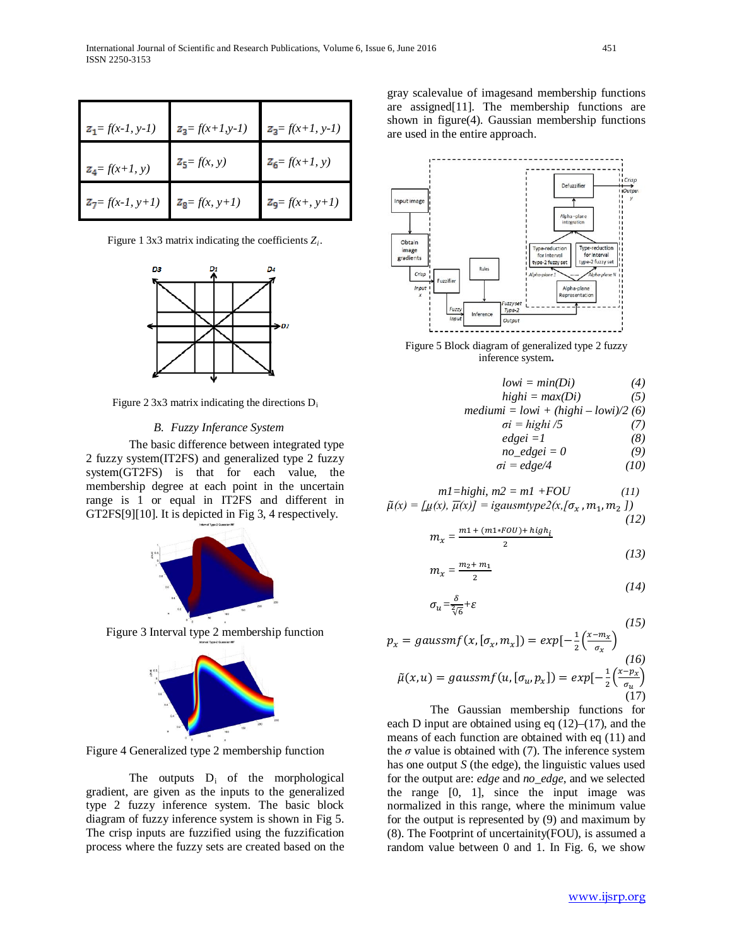| $z_1 = f(x-1, y-1)$          | $z_3 = f(x+1,y-1)$                    | $z_3 = f(x+1, y-1)$           |
|------------------------------|---------------------------------------|-------------------------------|
| $z_4 = f(x+1, y)$            | $Z_5 = f(x, y)$                       | $Z_6 = f(x+1, y)$             |
| $\mathbb{Z}_7 = f(x-1, y+1)$ | $\mathbf{z}_{\mathbf{g}} = f(x, y+1)$ | $\mathbf{z}_9 = f(x_+, y_+I)$ |

Figure 1 3x3 matrix indicating the coefficients *Zi*.



Figure 2 3x3 matrix indicating the directions  $D_i$ 

#### *B. Fuzzy Inferance System*

The basic difference between integrated type 2 fuzzy system(IT2FS) and generalized type 2 fuzzy system(GT2FS) is that for each value, the membership degree at each point in the uncertain range is 1 or equal in IT2FS and different in GT2FS[9][10]. It is depicted in Fig 3, 4 respectively.



Figure 3 Interval type 2 membership function



Figure 4 Generalized type 2 membership function

The outputs  $D_i$  of the morphological gradient, are given as the inputs to the generalized type 2 fuzzy inference system. The basic block diagram of fuzzy inference system is shown in Fig 5. The crisp inputs are fuzzified using the fuzzification process where the fuzzy sets are created based on the

gray scalevalue of imagesand membership functions are assigned[11]. The membership functions are shown in figure(4). Gaussian membership functions are used in the entire approach.



Figure 5 Block diagram of generalized type 2 fuzzy inference system**.**

| $lowi = min(Di)$                    | (4)  |
|-------------------------------------|------|
| $highi = max(Di)$                   | (5)  |
| $mediumi = lowi + (highi - lowi)/2$ | (6)  |
| $\sigma i = highi /5$               | (7)  |
| $edgei = 1$                         | (8)  |
| $no\_edgei = 0$                     | (9)  |
| $\sigma i = edge/4$                 | (10) |

$$
m1 = highi, m2 = m1 + FOU
$$
 (11)  

$$
\tilde{\mu}(x) = [\mu(x), \overline{\mu}(x)] = igausmtype2(x, [\sigma_x, m_1, m_2])
$$
 (12)

$$
m_x = \frac{m1 + (m1 * FOU) + high_i}{2}
$$
\n<sup>(13)</sup>

$$
m_x = \frac{m_2 + m_1}{2} \tag{14}
$$

$$
\sigma_u = \frac{\delta}{\sqrt[2]{6}} + \varepsilon \tag{14}
$$

$$
p_x = gaussmf(x, [\sigma_x, m_x]) = exp[-\frac{1}{2}(\frac{x - m_x}{\sigma_x})
$$
\n
$$
\tilde{\mu}(x, u) = gaussmf(u, [\sigma_u, p_x]) = exp[-\frac{1}{2}(\frac{x - p_x}{\sigma_u})]
$$
\n(17)

The Gaussian membership functions for each D input are obtained using eq (12)–(17), and the means of each function are obtained with eq (11) and the  $\sigma$  value is obtained with (7). The inference system has one output *S* (the edge), the linguistic values used for the output are: *edge* and *no\_edge*, and we selected the range [0, 1], since the input image was normalized in this range, where the minimum value for the output is represented by (9) and maximum by (8). The Footprint of uncertainity(FOU), is assumed a random value between 0 and 1. In Fig. 6, we show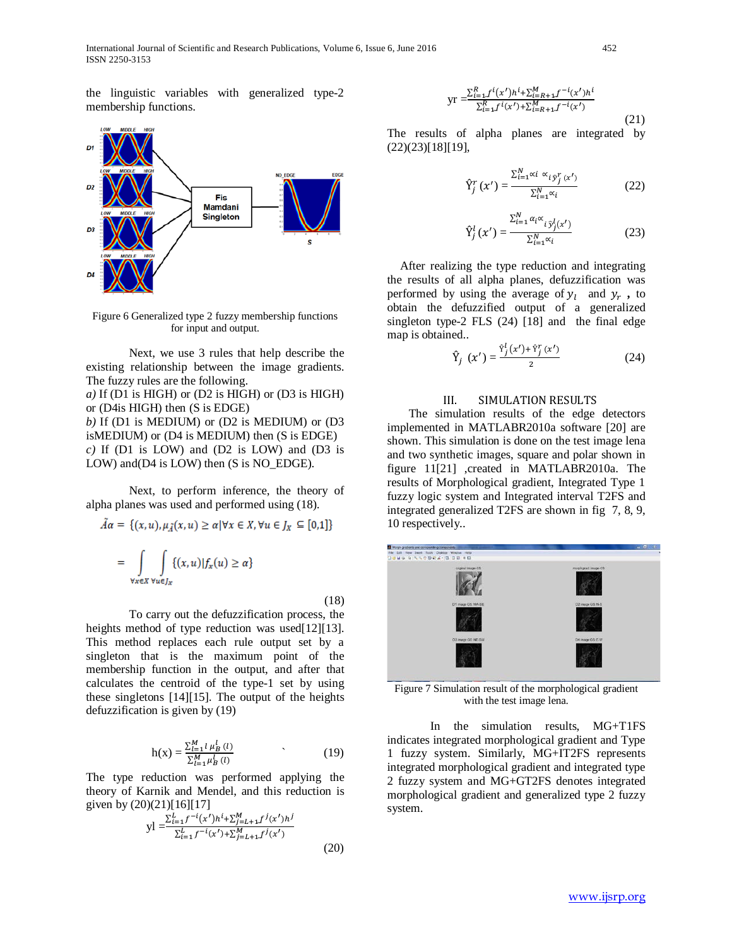International Journal of Scientific and Research Publications, Volume 6, Issue 6, June 2016 452 ISSN 2250-3153

the linguistic variables with generalized type-2 membership functions.



Figure 6 Generalized type 2 fuzzy membership functions for input and output.

Next, we use 3 rules that help describe the existing relationship between the image gradients. The fuzzy rules are the following.

*a)* If (D1 is HIGH) or (D2 is HIGH) or (D3 is HIGH) or (D4is HIGH) then (S is EDGE)

*b)* If (D1 is MEDIUM) or (D2 is MEDIUM) or (D3 isMEDIUM) or (D4 is MEDIUM) then (S is EDGE) *c)* If (D1 is LOW) and (D2 is LOW) and (D3 is LOW) and (D4 is LOW) then (S is NO EDGE).

Next, to perform inference, the theory of alpha planes was used and performed using (18).

$$
A\alpha = \{(x, u), \mu_{\tilde{A}}(x, u) \ge \alpha | \forall x \in X, \forall u \in J_X \subseteq [0, 1] \}
$$

$$
= \int_{\forall x \in X} \int_{\forall u \in J_X} \{(x, u) | f_x(u) \ge \alpha \}
$$

(18)

To carry out the defuzzification process, the heights method of type reduction was used[12][13]. This method replaces each rule output set by a singleton that is the maximum point of the membership function in the output, and after that calculates the centroid of the type-1 set by using these singletons [14][15]. The output of the heights defuzzification is given by (19)

$$
h(x) = \frac{\sum_{l=1}^{M} \mu_B^l(l)}{\sum_{l=1}^{M} \mu_B^l(l)} \tag{19}
$$

The type reduction was performed applying the theory of Karnik and Mendel, and this reduction is given by  $(20)(21)[16][17]$ 

yl = 
$$
\frac{\sum_{i=1}^{L} f^{-i}(x')h^{i} + \sum_{j=L+1}^{M} f^{j}(x')h^{j}}{\sum_{i=1}^{L} f^{-i}(x') + \sum_{j=L+1}^{M} f^{j}(x')}
$$
 (20)

$$
yr = \frac{\sum_{i=1}^{R} f^{i}(x')h^{i} + \sum_{i=R+1}^{M} f^{-i}(x')h^{i}}{\sum_{i=1}^{R} f^{i}(x') + \sum_{i=R+1}^{M} f^{-i}(x')}
$$

The results of alpha planes are integrated by (22)(23)[18][19],

$$
\hat{Y}_{j}^{r}\left(x'\right) = \frac{\sum_{i=1}^{N} \alpha_{i} \alpha_{i} \hat{y}_{j}^{r}\left(x'\right)}{\sum_{i=1}^{N} \alpha_{i}} \tag{22}
$$

$$
\hat{\Upsilon}_{j}^{l}\left(x'\right) = \frac{\Sigma_{l=1}^{N} \alpha_{l} \alpha_{i}}{\Sigma_{l=1}^{N} \alpha_{i}} \tag{23}
$$

After realizing the type reduction and integrating the results of all alpha planes, defuzzification was performed by using the average of  $y_l$  and  $y_r$ , to obtain the defuzzified output of a generalized singleton type-2 FLS (24) [18] and the final edge map is obtained..

$$
\hat{Y}_j(x') = \frac{\hat{Y}_j^l(x') + \hat{Y}_j^r(x')}{2} \tag{24}
$$

#### III. SIMULATION RESULTS

The simulation results of the edge detectors implemented in MATLABR2010a software [20] are shown. This simulation is done on the test image lena and two synthetic images, square and polar shown in figure 11[21] ,created in MATLABR2010a. The results of Morphological gradient, Integrated Type 1 fuzzy logic system and Integrated interval T2FS and integrated generalized T2FS are shown in fig 7, 8, 9, 10 respectively..



Figure 7 Simulation result of the morphological gradient with the test image lena.

In the simulation results, MG+T1FS indicates integrated morphological gradient and Type 1 fuzzy system. Similarly, MG+IT2FS represents integrated morphological gradient and integrated type 2 fuzzy system and MG+GT2FS denotes integrated morphological gradient and generalized type 2 fuzzy system.

(21)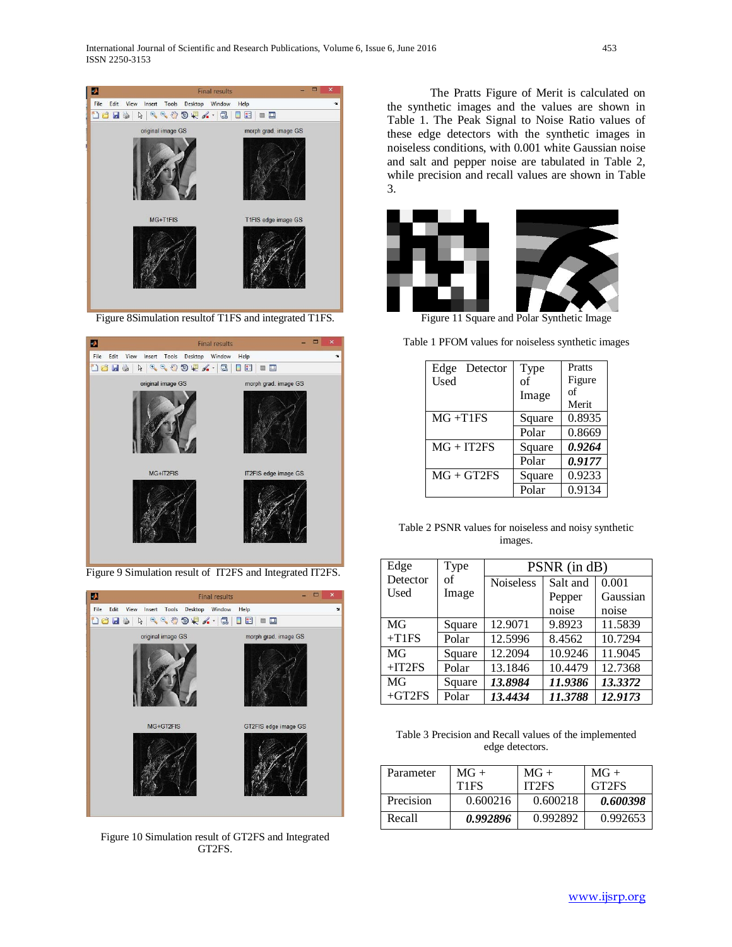

Figure 8Simulation resultof T1FS and integrated T1FS.



Figure 9 Simulation result of IT2FS and Integrated IT2FS.



Figure 10 Simulation result of GT2FS and Integrated GT2FS.

The Pratts Figure of Merit is calculated on the synthetic images and the values are shown in Table 1. The Peak Signal to Noise Ratio values of these edge detectors with the synthetic images in noiseless conditions, with 0.001 white Gaussian noise and salt and pepper noise are tabulated in Table 2, while precision and recall values are shown in Table 3.



Table 1 PFOM values for noiseless synthetic images

| Edge<br>Detector | Type   | Pratts |
|------------------|--------|--------|
| Used             | of     | Figure |
|                  | Image  | οf     |
|                  |        | Merit  |
| $MG + T1FS$      | Square | 0.8935 |
|                  | Polar  | 0.8669 |
| $MG + IT2FS$     | Square | 0.9264 |
|                  | Polar  | 0.9177 |
| $MG + GT2FS$     | Square | 0.9233 |
|                  | Polar  | 0.9134 |

Table 2 PSNR values for noiseless and noisy synthetic images.

| Edge     | Type   | PSNR (in dB)     |          |          |
|----------|--------|------------------|----------|----------|
| Detector | of     | <b>Noiseless</b> | Salt and | 0.001    |
| Used     | Image  |                  | Pepper   | Gaussian |
|          |        |                  | noise    | noise    |
| MG       | Square | 12.9071          | 9.8923   | 11.5839  |
| $+T1FS$  | Polar  | 12.5996          | 8.4562   | 10.7294  |
| MG       | Square | 12.2094          | 10.9246  | 11.9045  |
| $+IT2FS$ | Polar  | 13.1846          | 10.4479  | 12.7368  |
| MG       | Square | 13.8984          | 11.9386  | 13.3372  |
| $+GT2FS$ | Polar  | 13.4434          | 11.3788  | 12.9173  |

Table 3 Precision and Recall values of the implemented edge detectors.

| Parameter | $MG+$                         | $MG+$              | $MG+$              |
|-----------|-------------------------------|--------------------|--------------------|
|           | T <sub>1</sub> F <sub>S</sub> | IT <sub>2</sub> FS | GT <sub>2</sub> FS |
| Precision | 0.600216                      | 0.600218           | 0.600398           |
| Recall    | 0.992896                      | 0.992892           | 0.992653           |